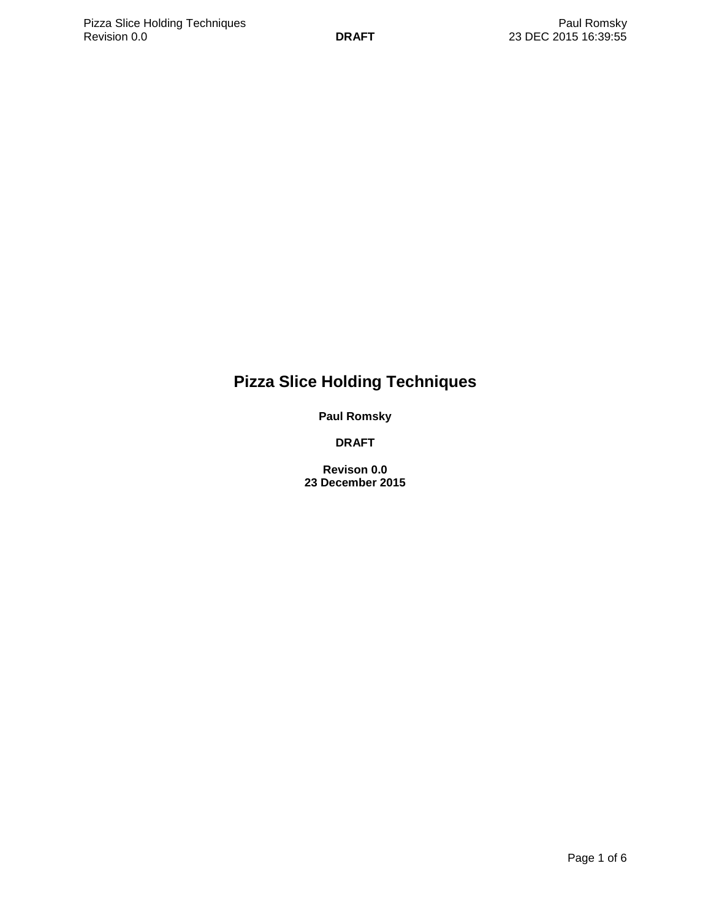# **Pizza Slice Holding Techniques**

**Paul Romsky**

**DRAFT**

**Revison 0.0 23 December 2015**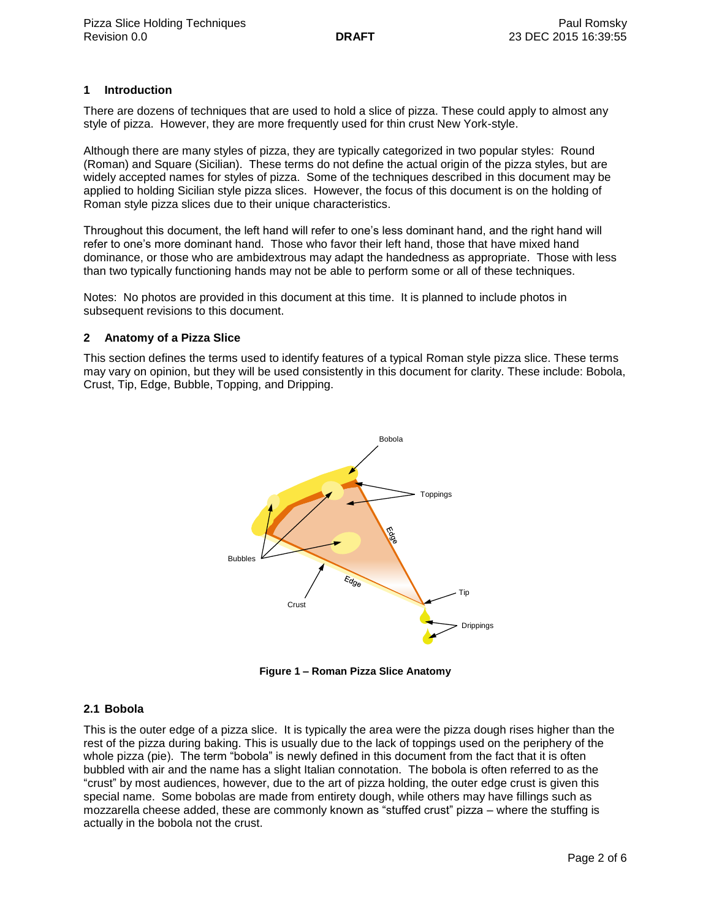## **1 Introduction**

There are dozens of techniques that are used to hold a slice of pizza. These could apply to almost any style of pizza. However, they are more frequently used for thin crust New York-style.

Although there are many styles of pizza, they are typically categorized in two popular styles: Round (Roman) and Square (Sicilian). These terms do not define the actual origin of the pizza styles, but are widely accepted names for styles of pizza. Some of the techniques described in this document may be applied to holding Sicilian style pizza slices. However, the focus of this document is on the holding of Roman style pizza slices due to their unique characteristics.

Throughout this document, the left hand will refer to one's less dominant hand, and the right hand will refer to one's more dominant hand. Those who favor their left hand, those that have mixed hand dominance, or those who are ambidextrous may adapt the handedness as appropriate. Those with less than two typically functioning hands may not be able to perform some or all of these techniques.

Notes: No photos are provided in this document at this time. It is planned to include photos in subsequent revisions to this document.

#### **2 Anatomy of a Pizza Slice**

This section defines the terms used to identify features of a typical Roman style pizza slice. These terms may vary on opinion, but they will be used consistently in this document for clarity. These include: Bobola, Crust, Tip, Edge, Bubble, Topping, and Dripping.



**Figure 1 – Roman Pizza Slice Anatomy**

#### **2.1 Bobola**

This is the outer edge of a pizza slice. It is typically the area were the pizza dough rises higher than the rest of the pizza during baking. This is usually due to the lack of toppings used on the periphery of the whole pizza (pie). The term "bobola" is newly defined in this document from the fact that it is often bubbled with air and the name has a slight Italian connotation. The bobola is often referred to as the "crust" by most audiences, however, due to the art of pizza holding, the outer edge crust is given this special name. Some bobolas are made from entirety dough, while others may have fillings such as mozzarella cheese added, these are commonly known as "stuffed crust" pizza – where the stuffing is actually in the bobola not the crust.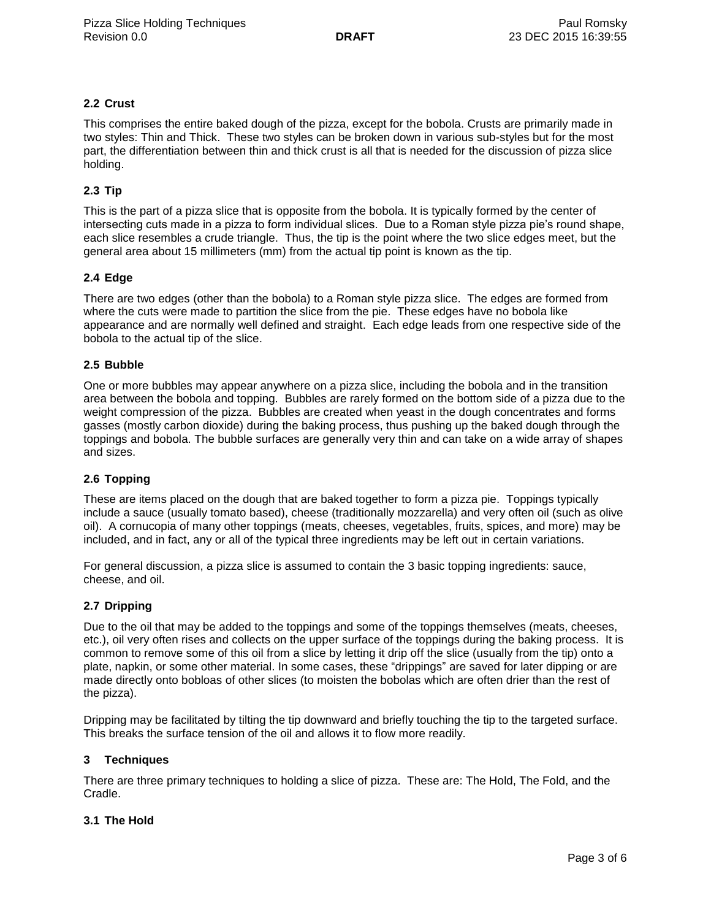# **2.2 Crust**

This comprises the entire baked dough of the pizza, except for the bobola. Crusts are primarily made in two styles: Thin and Thick. These two styles can be broken down in various sub-styles but for the most part, the differentiation between thin and thick crust is all that is needed for the discussion of pizza slice holding.

# **2.3 Tip**

This is the part of a pizza slice that is opposite from the bobola. It is typically formed by the center of intersecting cuts made in a pizza to form individual slices. Due to a Roman style pizza pie's round shape, each slice resembles a crude triangle. Thus, the tip is the point where the two slice edges meet, but the general area about 15 millimeters (mm) from the actual tip point is known as the tip.

## **2.4 Edge**

There are two edges (other than the bobola) to a Roman style pizza slice. The edges are formed from where the cuts were made to partition the slice from the pie. These edges have no bobola like appearance and are normally well defined and straight. Each edge leads from one respective side of the bobola to the actual tip of the slice.

#### **2.5 Bubble**

One or more bubbles may appear anywhere on a pizza slice, including the bobola and in the transition area between the bobola and topping. Bubbles are rarely formed on the bottom side of a pizza due to the weight compression of the pizza. Bubbles are created when yeast in the dough concentrates and forms gasses (mostly carbon dioxide) during the baking process, thus pushing up the baked dough through the toppings and bobola. The bubble surfaces are generally very thin and can take on a wide array of shapes and sizes.

#### **2.6 Topping**

These are items placed on the dough that are baked together to form a pizza pie. Toppings typically include a sauce (usually tomato based), cheese (traditionally mozzarella) and very often oil (such as olive oil). A cornucopia of many other toppings (meats, cheeses, vegetables, fruits, spices, and more) may be included, and in fact, any or all of the typical three ingredients may be left out in certain variations.

For general discussion, a pizza slice is assumed to contain the 3 basic topping ingredients: sauce, cheese, and oil.

#### **2.7 Dripping**

Due to the oil that may be added to the toppings and some of the toppings themselves (meats, cheeses, etc.), oil very often rises and collects on the upper surface of the toppings during the baking process. It is common to remove some of this oil from a slice by letting it drip off the slice (usually from the tip) onto a plate, napkin, or some other material. In some cases, these "drippings" are saved for later dipping or are made directly onto bobloas of other slices (to moisten the bobolas which are often drier than the rest of the pizza).

Dripping may be facilitated by tilting the tip downward and briefly touching the tip to the targeted surface. This breaks the surface tension of the oil and allows it to flow more readily.

#### **3 Techniques**

There are three primary techniques to holding a slice of pizza. These are: The Hold, The Fold, and the Cradle.

### **3.1 The Hold**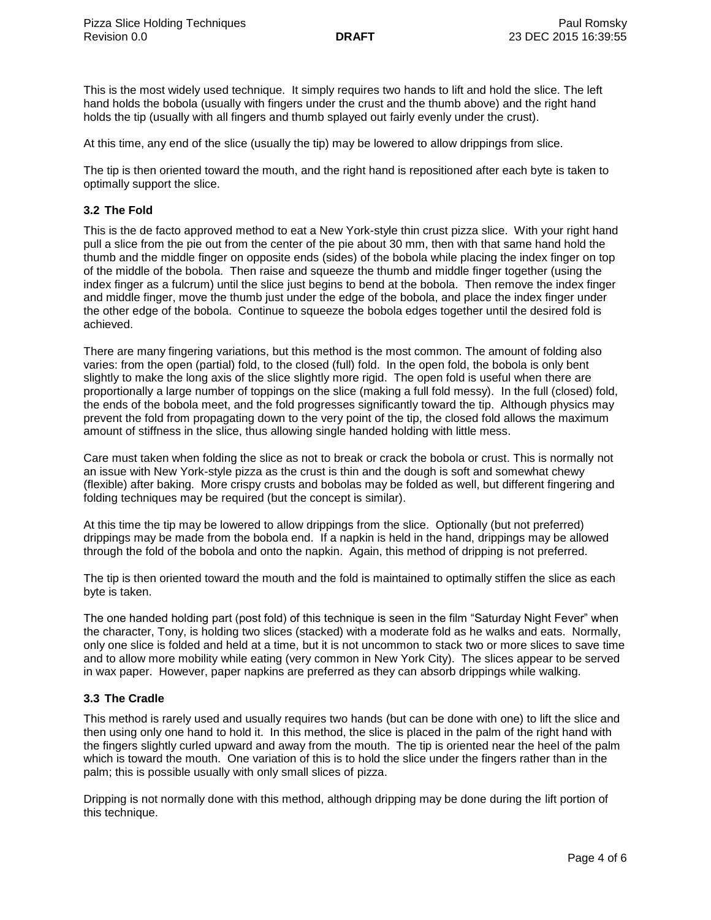This is the most widely used technique. It simply requires two hands to lift and hold the slice. The left hand holds the bobola (usually with fingers under the crust and the thumb above) and the right hand holds the tip (usually with all fingers and thumb splayed out fairly evenly under the crust).

At this time, any end of the slice (usually the tip) may be lowered to allow drippings from slice.

The tip is then oriented toward the mouth, and the right hand is repositioned after each byte is taken to optimally support the slice.

## **3.2 The Fold**

This is the de facto approved method to eat a New York-style thin crust pizza slice. With your right hand pull a slice from the pie out from the center of the pie about 30 mm, then with that same hand hold the thumb and the middle finger on opposite ends (sides) of the bobola while placing the index finger on top of the middle of the bobola. Then raise and squeeze the thumb and middle finger together (using the index finger as a fulcrum) until the slice just begins to bend at the bobola. Then remove the index finger and middle finger, move the thumb just under the edge of the bobola, and place the index finger under the other edge of the bobola. Continue to squeeze the bobola edges together until the desired fold is achieved.

There are many fingering variations, but this method is the most common. The amount of folding also varies: from the open (partial) fold, to the closed (full) fold. In the open fold, the bobola is only bent slightly to make the long axis of the slice slightly more rigid. The open fold is useful when there are proportionally a large number of toppings on the slice (making a full fold messy). In the full (closed) fold, the ends of the bobola meet, and the fold progresses significantly toward the tip. Although physics may prevent the fold from propagating down to the very point of the tip, the closed fold allows the maximum amount of stiffness in the slice, thus allowing single handed holding with little mess.

Care must taken when folding the slice as not to break or crack the bobola or crust. This is normally not an issue with New York-style pizza as the crust is thin and the dough is soft and somewhat chewy (flexible) after baking. More crispy crusts and bobolas may be folded as well, but different fingering and folding techniques may be required (but the concept is similar).

At this time the tip may be lowered to allow drippings from the slice. Optionally (but not preferred) drippings may be made from the bobola end. If a napkin is held in the hand, drippings may be allowed through the fold of the bobola and onto the napkin. Again, this method of dripping is not preferred.

The tip is then oriented toward the mouth and the fold is maintained to optimally stiffen the slice as each byte is taken.

The one handed holding part (post fold) of this technique is seen in the film "Saturday Night Fever" when the character, Tony, is holding two slices (stacked) with a moderate fold as he walks and eats. Normally, only one slice is folded and held at a time, but it is not uncommon to stack two or more slices to save time and to allow more mobility while eating (very common in New York City). The slices appear to be served in wax paper. However, paper napkins are preferred as they can absorb drippings while walking.

# **3.3 The Cradle**

This method is rarely used and usually requires two hands (but can be done with one) to lift the slice and then using only one hand to hold it. In this method, the slice is placed in the palm of the right hand with the fingers slightly curled upward and away from the mouth. The tip is oriented near the heel of the palm which is toward the mouth. One variation of this is to hold the slice under the fingers rather than in the palm; this is possible usually with only small slices of pizza.

Dripping is not normally done with this method, although dripping may be done during the lift portion of this technique.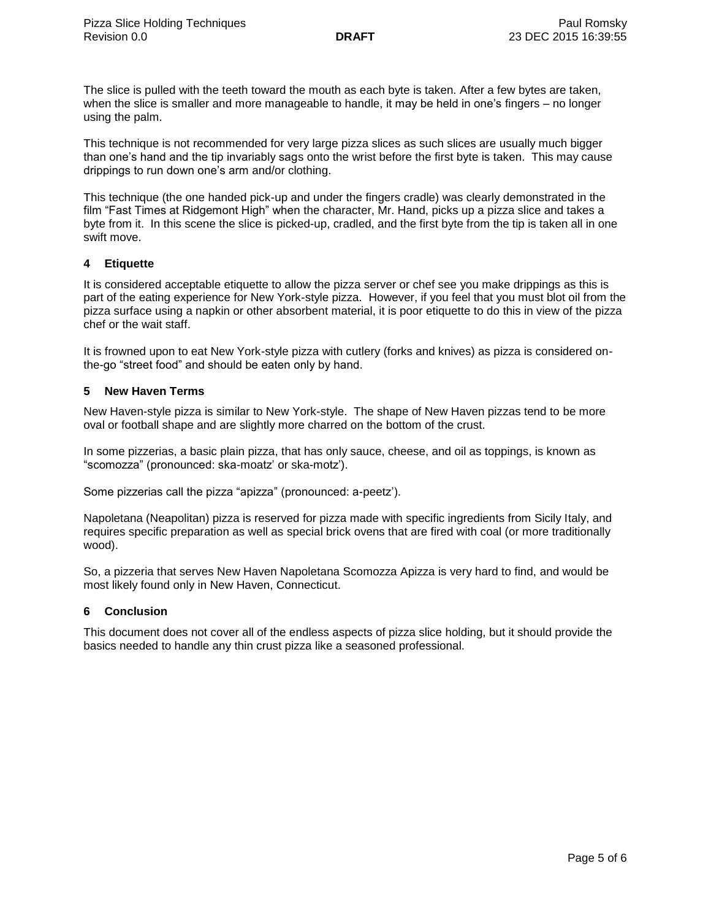The slice is pulled with the teeth toward the mouth as each byte is taken. After a few bytes are taken, when the slice is smaller and more manageable to handle, it may be held in one's fingers – no longer using the palm.

This technique is not recommended for very large pizza slices as such slices are usually much bigger than one's hand and the tip invariably sags onto the wrist before the first byte is taken. This may cause drippings to run down one's arm and/or clothing.

This technique (the one handed pick-up and under the fingers cradle) was clearly demonstrated in the film "Fast Times at Ridgemont High" when the character, Mr. Hand, picks up a pizza slice and takes a byte from it. In this scene the slice is picked-up, cradled, and the first byte from the tip is taken all in one swift move.

## **4 Etiquette**

It is considered acceptable etiquette to allow the pizza server or chef see you make drippings as this is part of the eating experience for New York-style pizza. However, if you feel that you must blot oil from the pizza surface using a napkin or other absorbent material, it is poor etiquette to do this in view of the pizza chef or the wait staff.

It is frowned upon to eat New York-style pizza with cutlery (forks and knives) as pizza is considered onthe-go "street food" and should be eaten only by hand.

## **5 New Haven Terms**

New Haven-style pizza is similar to New York-style. The shape of New Haven pizzas tend to be more oval or football shape and are slightly more charred on the bottom of the crust.

In some pizzerias, a basic plain pizza, that has only sauce, cheese, and oil as toppings, is known as "scomozza" (pronounced: ska-moatz' or ska-motz').

Some pizzerias call the pizza "apizza" (pronounced: a-peetz').

Napoletana (Neapolitan) pizza is reserved for pizza made with specific ingredients from Sicily Italy, and requires specific preparation as well as special brick ovens that are fired with coal (or more traditionally wood).

So, a pizzeria that serves New Haven Napoletana Scomozza Apizza is very hard to find, and would be most likely found only in New Haven, Connecticut.

#### **6 Conclusion**

This document does not cover all of the endless aspects of pizza slice holding, but it should provide the basics needed to handle any thin crust pizza like a seasoned professional.